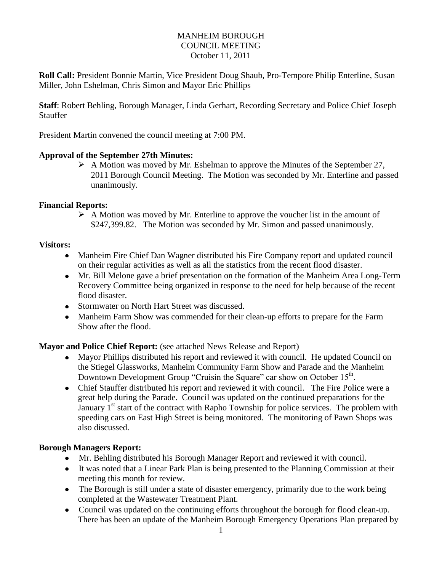## MANHEIM BOROUGH COUNCIL MEETING October 11, 2011

**Roll Call:** President Bonnie Martin, Vice President Doug Shaub, Pro-Tempore Philip Enterline, Susan Miller, John Eshelman, Chris Simon and Mayor Eric Phillips

**Staff**: Robert Behling, Borough Manager, Linda Gerhart, Recording Secretary and Police Chief Joseph Stauffer

President Martin convened the council meeting at 7:00 PM.

### **Approval of the September 27th Minutes:**

 $\triangleright$  A Motion was moved by Mr. Eshelman to approve the Minutes of the September 27, 2011 Borough Council Meeting. The Motion was seconded by Mr. Enterline and passed unanimously.

### **Financial Reports:**

 $\triangleright$  A Motion was moved by Mr. Enterline to approve the voucher list in the amount of \$247,399.82. The Motion was seconded by Mr. Simon and passed unanimously.

### **Visitors:**

- Manheim Fire Chief Dan Wagner distributed his Fire Company report and updated council on their regular activities as well as all the statistics from the recent flood disaster.
- Mr. Bill Melone gave a brief presentation on the formation of the Manheim Area Long-Term Recovery Committee being organized in response to the need for help because of the recent flood disaster.
- Stormwater on North Hart Street was discussed.
- Manheim Farm Show was commended for their clean-up efforts to prepare for the Farm Show after the flood.

# **Mayor and Police Chief Report:** (see attached News Release and Report)

- Mayor Phillips distributed his report and reviewed it with council. He updated Council on the Stiegel Glassworks, Manheim Community Farm Show and Parade and the Manheim Downtown Development Group "Cruisin the Square" car show on October 15<sup>th</sup>.
- Chief Stauffer distributed his report and reviewed it with council. The Fire Police were a great help during the Parade. Council was updated on the continued preparations for the January  $1<sup>st</sup>$  start of the contract with Rapho Township for police services. The problem with speeding cars on East High Street is being monitored. The monitoring of Pawn Shops was also discussed.

### **Borough Managers Report:**

- Mr. Behling distributed his Borough Manager Report and reviewed it with council.
- It was noted that a Linear Park Plan is being presented to the Planning Commission at their meeting this month for review.
- The Borough is still under a state of disaster emergency, primarily due to the work being completed at the Wastewater Treatment Plant.
- Council was updated on the continuing efforts throughout the borough for flood clean-up. There has been an update of the Manheim Borough Emergency Operations Plan prepared by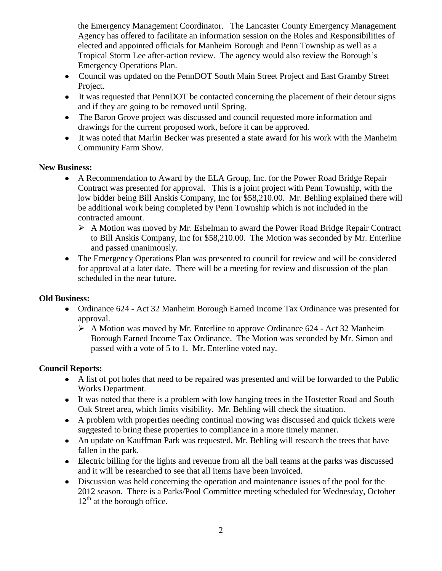the Emergency Management Coordinator. The Lancaster County Emergency Management Agency has offered to facilitate an information session on the Roles and Responsibilities of elected and appointed officials for Manheim Borough and Penn Township as well as a Tropical Storm Lee after-action review. The agency would also review the Borough's Emergency Operations Plan.

- Council was updated on the PennDOT South Main Street Project and East Gramby Street Project.
- It was requested that PennDOT be contacted concerning the placement of their detour signs and if they are going to be removed until Spring.
- The Baron Grove project was discussed and council requested more information and drawings for the current proposed work, before it can be approved.
- It was noted that Marlin Becker was presented a state award for his work with the Manheim Community Farm Show.

## **New Business:**

- $\bullet$ A Recommendation to Award by the ELA Group, Inc. for the Power Road Bridge Repair Contract was presented for approval. This is a joint project with Penn Township, with the low bidder being Bill Anskis Company, Inc for \$58,210.00. Mr. Behling explained there will be additional work being completed by Penn Township which is not included in the contracted amount.
	- A Motion was moved by Mr. Eshelman to award the Power Road Bridge Repair Contract to Bill Anskis Company, Inc for \$58,210.00. The Motion was seconded by Mr. Enterline and passed unanimously.
- The Emergency Operations Plan was presented to council for review and will be considered for approval at a later date. There will be a meeting for review and discussion of the plan scheduled in the near future.

# **Old Business:**

- $\bullet$ Ordinance 624 - Act 32 Manheim Borough Earned Income Tax Ordinance was presented for approval.
	- $\triangleright$  A Motion was moved by Mr. Enterline to approve Ordinance 624 Act 32 Manheim Borough Earned Income Tax Ordinance. The Motion was seconded by Mr. Simon and passed with a vote of 5 to 1. Mr. Enterline voted nay.

# **Council Reports:**

- A list of pot holes that need to be repaired was presented and will be forwarded to the Public Works Department.
- It was noted that there is a problem with low hanging trees in the Hostetter Road and South Oak Street area, which limits visibility. Mr. Behling will check the situation.
- A problem with properties needing continual mowing was discussed and quick tickets were suggested to bring these properties to compliance in a more timely manner.
- An update on Kauffman Park was requested, Mr. Behling will research the trees that have fallen in the park.
- Electric billing for the lights and revenue from all the ball teams at the parks was discussed and it will be researched to see that all items have been invoiced.
- Discussion was held concerning the operation and maintenance issues of the pool for the 2012 season. There is a Parks/Pool Committee meeting scheduled for Wednesday, October  $12<sup>th</sup>$  at the borough office.